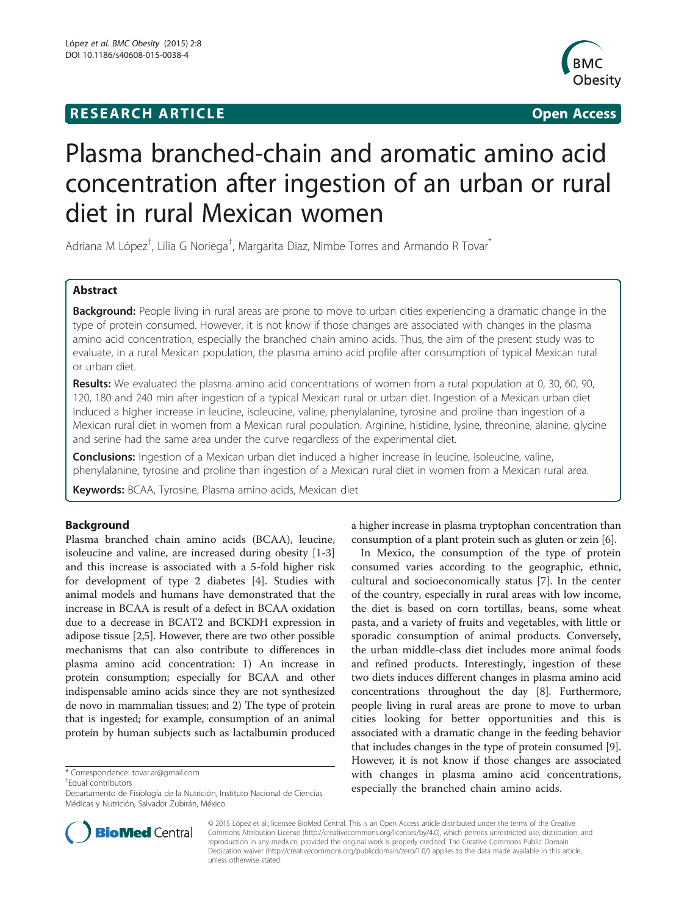## **RESEARCH ARTICLE CONSUMING A RESEARCH ARTICLE**



# Plasma branched-chain and aromatic amino acid concentration after ingestion of an urban or rural diet in rural Mexican women

Adriana M López<sup>†</sup>, Lilia G Noriega<sup>†</sup>, Margarita Diaz, Nimbe Torres and Armando R Tovar<sup>\*</sup>

## Abstract

Background: People living in rural areas are prone to move to urban cities experiencing a dramatic change in the type of protein consumed. However, it is not know if those changes are associated with changes in the plasma amino acid concentration, especially the branched chain amino acids. Thus, the aim of the present study was to evaluate, in a rural Mexican population, the plasma amino acid profile after consumption of typical Mexican rural or urban diet.

Results: We evaluated the plasma amino acid concentrations of women from a rural population at 0, 30, 60, 90, 120, 180 and 240 min after ingestion of a typical Mexican rural or urban diet. Ingestion of a Mexican urban diet induced a higher increase in leucine, isoleucine, valine, phenylalanine, tyrosine and proline than ingestion of a Mexican rural diet in women from a Mexican rural population. Arginine, histidine, lysine, threonine, alanine, glycine and serine had the same area under the curve regardless of the experimental diet.

**Conclusions:** Ingestion of a Mexican urban diet induced a higher increase in leucine, isoleucine, valine, phenylalanine, tyrosine and proline than ingestion of a Mexican rural diet in women from a Mexican rural area.

**Keywords:** BCAA, Tyrosine, Plasma amino acids, Mexican diet

## Background

Plasma branched chain amino acids (BCAA), leucine, isoleucine and valine, are increased during obesity [\[1-](#page-4-0)[3](#page-5-0)] and this increase is associated with a 5-fold higher risk for development of type 2 diabetes [[4](#page-5-0)]. Studies with animal models and humans have demonstrated that the increase in BCAA is result of a defect in BCAA oxidation due to a decrease in BCAT2 and BCKDH expression in adipose tissue [\[2](#page-4-0)[,5\]](#page-5-0). However, there are two other possible mechanisms that can also contribute to differences in plasma amino acid concentration: 1) An increase in protein consumption; especially for BCAA and other indispensable amino acids since they are not synthesized de novo in mammalian tissues; and 2) The type of protein that is ingested; for example, consumption of an animal protein by human subjects such as lactalbumin produced

\* Correspondence: [tovar.ar@gmail.com](mailto:tovar.ar@gmail.com) †

Equal contributors

a higher increase in plasma tryptophan concentration than consumption of a plant protein such as gluten or zein [[6\]](#page-5-0).

In Mexico, the consumption of the type of protein consumed varies according to the geographic, ethnic, cultural and socioeconomically status [[7\]](#page-5-0). In the center of the country, especially in rural areas with low income, the diet is based on corn tortillas, beans, some wheat pasta, and a variety of fruits and vegetables, with little or sporadic consumption of animal products. Conversely, the urban middle-class diet includes more animal foods and refined products. Interestingly, ingestion of these two diets induces different changes in plasma amino acid concentrations throughout the day [\[8\]](#page-5-0). Furthermore, people living in rural areas are prone to move to urban cities looking for better opportunities and this is associated with a dramatic change in the feeding behavior that includes changes in the type of protein consumed [[9](#page-5-0)]. However, it is not know if those changes are associated with changes in plasma amino acid concentrations, especially the branched chain amino acids.



© 2015 López et al.; licensee BioMed Central. This is an Open Access article distributed under the terms of the Creative Commons Attribution License [\(http://creativecommons.org/licenses/by/4.0\)](http://creativecommons.org/licenses/by/4.0), which permits unrestricted use, distribution, and reproduction in any medium, provided the original work is properly credited. The Creative Commons Public Domain Dedication waiver [\(http://creativecommons.org/publicdomain/zero/1.0/](http://creativecommons.org/publicdomain/zero/1.0/)) applies to the data made available in this article, unless otherwise stated.

Departamento de Fisiología de la Nutrición, Instituto Nacional de Ciencias Médicas y Nutrición, Salvador Zubirán, México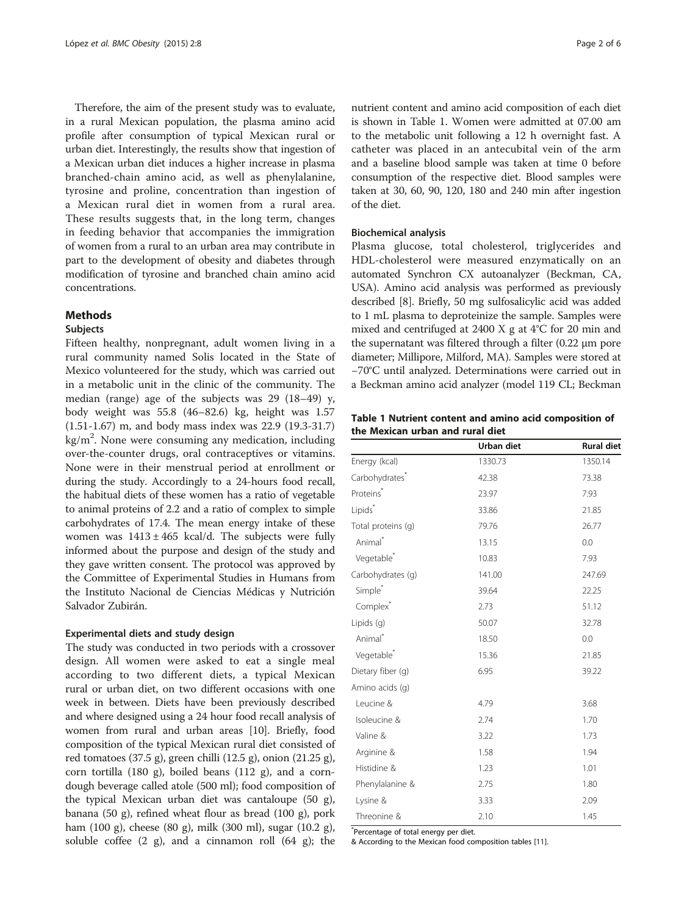Therefore, the aim of the present study was to evaluate, in a rural Mexican population, the plasma amino acid profile after consumption of typical Mexican rural or urban diet. Interestingly, the results show that ingestion of a Mexican urban diet induces a higher increase in plasma branched-chain amino acid, as well as phenylalanine, tyrosine and proline, concentration than ingestion of a Mexican rural diet in women from a rural area. These results suggests that, in the long term, changes in feeding behavior that accompanies the immigration of women from a rural to an urban area may contribute in part to the development of obesity and diabetes through modification of tyrosine and branched chain amino acid concentrations.

## **Methods**

## Subjects

Fifteen healthy, nonpregnant, adult women living in a rural community named Solis located in the State of Mexico volunteered for the study, which was carried out in a metabolic unit in the clinic of the community. The median (range) age of the subjects was 29 (18–49) y, body weight was 55.8 (46–82.6) kg, height was 1.57 (1.51-1.67) m, and body mass index was 22.9 (19.3-31.7) kg/m<sup>2</sup>. None were consuming any medication, including over-the-counter drugs, oral contraceptives or vitamins. None were in their menstrual period at enrollment or during the study. Accordingly to a 24-hours food recall, the habitual diets of these women has a ratio of vegetable to animal proteins of 2.2 and a ratio of complex to simple carbohydrates of 17.4. The mean energy intake of these women was  $1413 \pm 465$  kcal/d. The subjects were fully informed about the purpose and design of the study and they gave written consent. The protocol was approved by the Committee of Experimental Studies in Humans from the Instituto Nacional de Ciencias Médicas y Nutrición Salvador Zubirán.

## Experimental diets and study design

The study was conducted in two periods with a crossover design. All women were asked to eat a single meal according to two different diets, a typical Mexican rural or urban diet, on two different occasions with one week in between. Diets have been previously described and where designed using a 24 hour food recall analysis of women from rural and urban areas [\[10\]](#page-5-0). Briefly, food composition of the typical Mexican rural diet consisted of red tomatoes (37.5 g), green chilli (12.5 g), onion (21.25 g), corn tortilla (180 g), boiled beans (112 g), and a corndough beverage called atole (500 ml); food composition of the typical Mexican urban diet was cantaloupe (50 g), banana (50 g), refined wheat flour as bread (100 g), pork ham (100 g), cheese (80 g), milk (300 ml), sugar (10.2 g), soluble coffee (2 g), and a cinnamon roll (64 g); the

nutrient content and amino acid composition of each diet is shown in Table 1. Women were admitted at 07.00 am to the metabolic unit following a 12 h overnight fast. A catheter was placed in an antecubital vein of the arm and a baseline blood sample was taken at time 0 before consumption of the respective diet. Blood samples were taken at 30, 60, 90, 120, 180 and 240 min after ingestion of the diet.

## Biochemical analysis

Plasma glucose, total cholesterol, triglycerides and HDL-cholesterol were measured enzymatically on an automated Synchron CX autoanalyzer (Beckman, CA, USA). Amino acid analysis was performed as previously described [\[8](#page-5-0)]. Briefly, 50 mg sulfosalicylic acid was added to 1 mL plasma to deproteinize the sample. Samples were mixed and centrifuged at 2400 X g at 4°C for 20 min and the supernatant was filtered through a filter (0.22 μm pore diameter; Millipore, Milford, MA). Samples were stored at −70°C until analyzed. Determinations were carried out in a Beckman amino acid analyzer (model 119 CL; Beckman

Table 1 Nutrient content and amino acid composition of the Mexican urban and rural diet

|                            | Urban diet | <b>Rural diet</b> |
|----------------------------|------------|-------------------|
| Energy (kcal)              | 1330.73    | 1350.14           |
| Carbohydrates <sup>*</sup> | 42.38      | 73.38             |
| Proteins <sup>*</sup>      | 23.97      | 7.93              |
| Lipids <sup>*</sup>        | 33.86      | 21.85             |
| Total proteins (g)         | 79.76      | 26.77             |
| Animal <sup>*</sup>        | 13.15      | 0.0               |
| Vegetable <sup>*</sup>     | 10.83      | 7.93              |
| Carbohydrates (g)          | 141.00     | 247.69            |
| Simple <sup>*</sup>        | 39.64      | 22.25             |
| Complex <sup>*</sup>       | 2.73       | 51.12             |
| Lipids (q)                 | 50.07      | 32.78             |
| Animal <sup>*</sup>        | 18.50      | 0.0               |
| Vegetable <sup>*</sup>     | 15.36      | 21.85             |
| Dietary fiber (g)          | 6.95       | 39.22             |
| Amino acids (q)            |            |                   |
| Leucine &                  | 4.79       | 3.68              |
| Isoleucine &               | 2.74       | 1.70              |
| Valine &                   | 3.22       | 1.73              |
| Arginine &                 | 1.58       | 1.94              |
| Histidine &                | 1.23       | 1.01              |
| Phenylalanine &            | 2.75       | 1.80              |
| Lysine &                   | 3.33       | 2.09              |
| Threonine &                | 2.10       | 1.45              |

\* Percentage of total energy per diet.

& According to the Mexican food composition tables [\[11](#page-5-0)].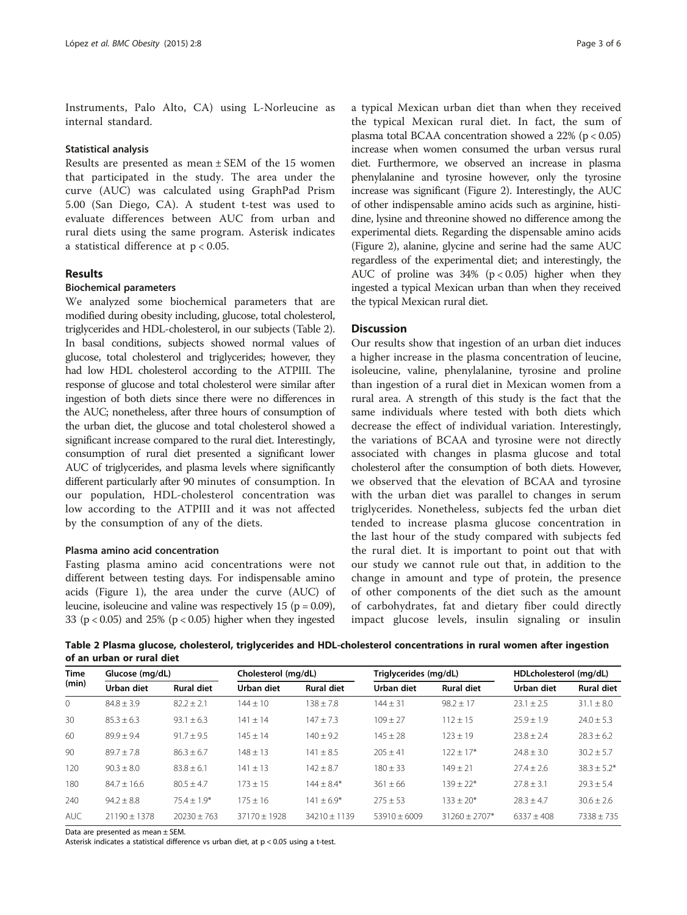Instruments, Palo Alto, CA) using L-Norleucine as internal standard.

## Statistical analysis

Results are presented as mean ± SEM of the 15 women that participated in the study. The area under the curve (AUC) was calculated using GraphPad Prism 5.00 (San Diego, CA). A student t-test was used to evaluate differences between AUC from urban and rural diets using the same program. Asterisk indicates a statistical difference at  $p < 0.05$ .

## **Results**

## Biochemical parameters

We analyzed some biochemical parameters that are modified during obesity including, glucose, total cholesterol, triglycerides and HDL-cholesterol, in our subjects (Table 2). In basal conditions, subjects showed normal values of glucose, total cholesterol and triglycerides; however, they had low HDL cholesterol according to the ATPIII. The response of glucose and total cholesterol were similar after ingestion of both diets since there were no differences in the AUC; nonetheless, after three hours of consumption of the urban diet, the glucose and total cholesterol showed a significant increase compared to the rural diet. Interestingly, consumption of rural diet presented a significant lower AUC of triglycerides, and plasma levels where significantly different particularly after 90 minutes of consumption. In our population, HDL-cholesterol concentration was low according to the ATPIII and it was not affected by the consumption of any of the diets.

## Plasma amino acid concentration

Fasting plasma amino acid concentrations were not different between testing days. For indispensable amino acids (Figure [1\)](#page-3-0), the area under the curve (AUC) of leucine, isoleucine and valine was respectively 15 ( $p = 0.09$ ), 33 ( $p < 0.05$ ) and 25% ( $p < 0.05$ ) higher when they ingested

a typical Mexican urban diet than when they received the typical Mexican rural diet. In fact, the sum of plasma total BCAA concentration showed a 22% (p < 0.05) increase when women consumed the urban versus rural diet. Furthermore, we observed an increase in plasma phenylalanine and tyrosine however, only the tyrosine increase was significant (Figure [2\)](#page-4-0). Interestingly, the AUC of other indispensable amino acids such as arginine, histidine, lysine and threonine showed no difference among the experimental diets. Regarding the dispensable amino acids (Figure [2](#page-4-0)), alanine, glycine and serine had the same AUC regardless of the experimental diet; and interestingly, the AUC of proline was  $34\%$  (p < 0.05) higher when they ingested a typical Mexican urban than when they received the typical Mexican rural diet.

## **Discussion**

Our results show that ingestion of an urban diet induces a higher increase in the plasma concentration of leucine, isoleucine, valine, phenylalanine, tyrosine and proline than ingestion of a rural diet in Mexican women from a rural area. A strength of this study is the fact that the same individuals where tested with both diets which decrease the effect of individual variation. Interestingly, the variations of BCAA and tyrosine were not directly associated with changes in plasma glucose and total cholesterol after the consumption of both diets. However, we observed that the elevation of BCAA and tyrosine with the urban diet was parallel to changes in serum triglycerides. Nonetheless, subjects fed the urban diet tended to increase plasma glucose concentration in the last hour of the study compared with subjects fed the rural diet. It is important to point out that with our study we cannot rule out that, in addition to the change in amount and type of protein, the presence of other components of the diet such as the amount of carbohydrates, fat and dietary fiber could directly impact glucose levels, insulin signaling or insulin

Table 2 Plasma glucose, cholesterol, triglycerides and HDL-cholesterol concentrations in rural women after ingestion of an urban or rural diet

| <b>Time</b><br>(min) | Glucose (mg/dL)  |                   | Cholesterol (mg/dL) |                   | Triglycerides (mg/dL) |                   | HDLcholesterol (mg/dL) |                   |
|----------------------|------------------|-------------------|---------------------|-------------------|-----------------------|-------------------|------------------------|-------------------|
|                      | Urban diet       | <b>Rural diet</b> | Urban diet          | <b>Rural diet</b> | Urban diet            | <b>Rural diet</b> | Urban diet             | <b>Rural diet</b> |
| $\Omega$             | $84.8 + 3.9$     | $82.2 + 2.1$      | $144 + 10$          | $138 + 7.8$       | $144 + 31$            | $98.2 + 17$       | $23.1 + 2.5$           | $31.1 + 8.0$      |
| 30                   | $85.3 + 6.3$     | $93.1 + 6.3$      | $141 + 14$          | $147 + 73$        | $109 + 27$            | $112 + 15$        | $25.9 + 1.9$           | $74.0 + 5.3$      |
| 60                   | $89.9 + 9.4$     | $91.7 + 9.5$      | $145 + 14$          | $140 + 9.2$       | $145 + 28$            | $123 + 19$        | $23.8 + 2.4$           | $78.3 + 6.2$      |
| 90                   | $89.7 + 7.8$     | $86.3 + 6.7$      | $148 \pm 13$        | $141 + 8.5$       | $205 + 41$            | $122 + 17*$       | $74.8 + 3.0$           | $30.2 \pm 5.7$    |
| 120                  | $90.3 + 8.0$     | $83.8 + 6.1$      | $141 + 13$          | $142 + 8.7$       | $180 + 33$            | $149 + 21$        | $77.4 + 2.6$           | $38.3 \pm 5.2^*$  |
| 180                  | $84.7 + 16.6$    | $80.5 + 4.7$      | $173 + 15$          | $144 + 8.4*$      | $361 \pm 66$          | $139 + 22*$       | $77.8 + 3.1$           | $79.3 + 5.4$      |
| 240                  | $94.2 + 8.8$     | $75.4 + 1.9*$     | $175 + 16$          | $141 + 6.9*$      | $275 + 53$            | $133 + 20*$       | $78.3 + 4.7$           | $30.6 + 2.6$      |
| AUC                  | $21190 \pm 1378$ | $20230 + 763$     | $37170 \pm 1928$    | $34210 + 1139$    | $53910 + 6009$        | $31260 + 2707*$   | $6337 + 408$           | $7338 + 735$      |

Data are presented as mean ± SEM.

Asterisk indicates a statistical difference vs urban diet, at p < 0.05 using a t-test.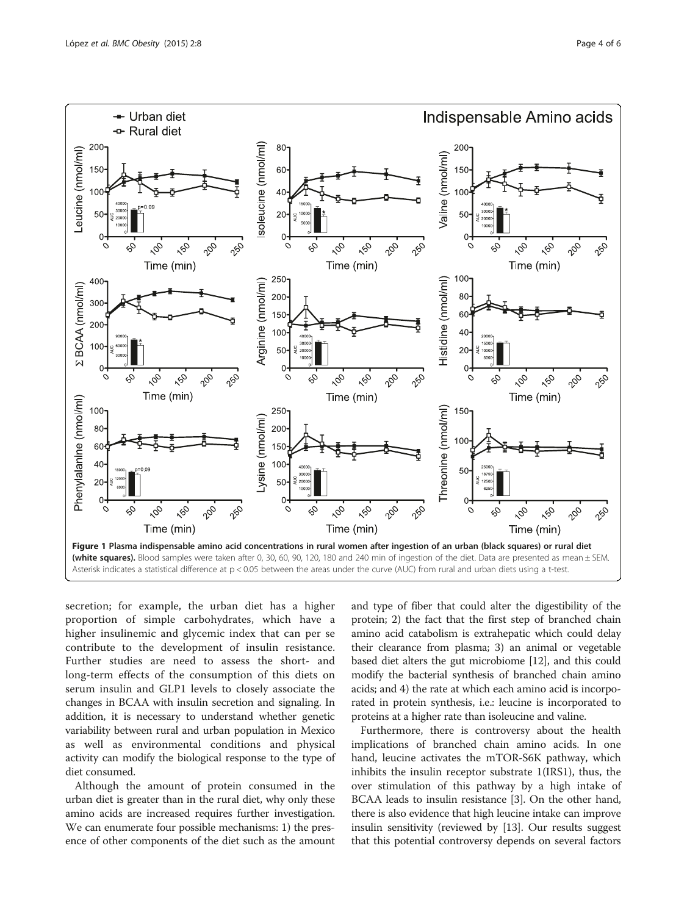<span id="page-3-0"></span>

secretion; for example, the urban diet has a higher proportion of simple carbohydrates, which have a higher insulinemic and glycemic index that can per se contribute to the development of insulin resistance. Further studies are need to assess the short- and long-term effects of the consumption of this diets on serum insulin and GLP1 levels to closely associate the changes in BCAA with insulin secretion and signaling. In addition, it is necessary to understand whether genetic variability between rural and urban population in Mexico as well as environmental conditions and physical activity can modify the biological response to the type of diet consumed.

Although the amount of protein consumed in the urban diet is greater than in the rural diet, why only these amino acids are increased requires further investigation. We can enumerate four possible mechanisms: 1) the presence of other components of the diet such as the amount

and type of fiber that could alter the digestibility of the protein; 2) the fact that the first step of branched chain amino acid catabolism is extrahepatic which could delay their clearance from plasma; 3) an animal or vegetable based diet alters the gut microbiome [[12](#page-5-0)], and this could modify the bacterial synthesis of branched chain amino acids; and 4) the rate at which each amino acid is incorporated in protein synthesis, i.e.: leucine is incorporated to proteins at a higher rate than isoleucine and valine.

Furthermore, there is controversy about the health implications of branched chain amino acids. In one hand, leucine activates the mTOR-S6K pathway, which inhibits the insulin receptor substrate 1(IRS1), thus, the over stimulation of this pathway by a high intake of BCAA leads to insulin resistance [[3\]](#page-5-0). On the other hand, there is also evidence that high leucine intake can improve insulin sensitivity (reviewed by [\[13\]](#page-5-0). Our results suggest that this potential controversy depends on several factors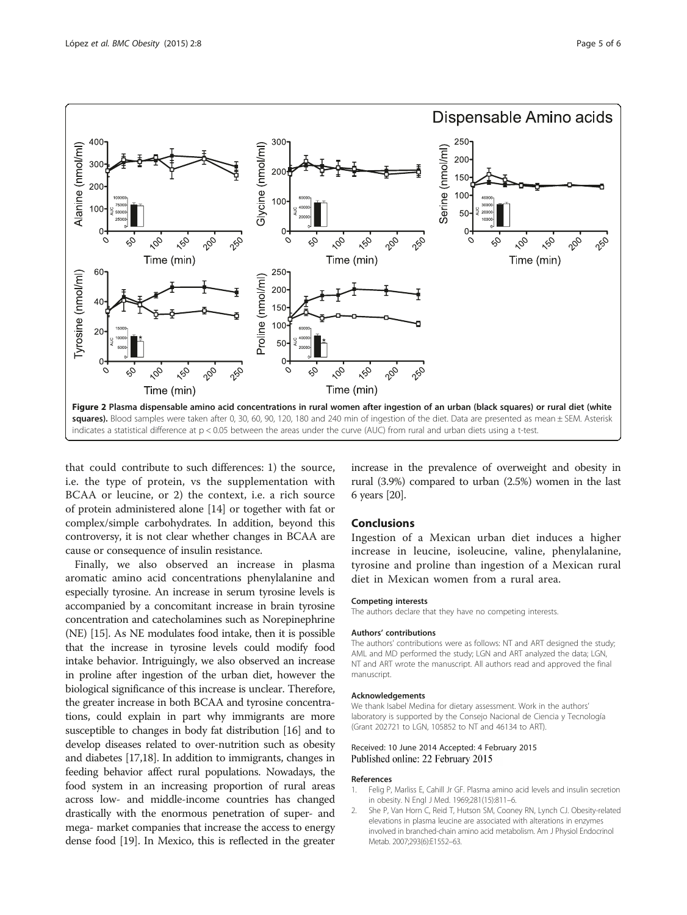<span id="page-4-0"></span>

that could contribute to such differences: 1) the source, i.e. the type of protein, vs the supplementation with BCAA or leucine, or 2) the context, i.e. a rich source of protein administered alone [\[14\]](#page-5-0) or together with fat or complex/simple carbohydrates. In addition, beyond this controversy, it is not clear whether changes in BCAA are cause or consequence of insulin resistance.

Finally, we also observed an increase in plasma aromatic amino acid concentrations phenylalanine and especially tyrosine. An increase in serum tyrosine levels is accompanied by a concomitant increase in brain tyrosine concentration and catecholamines such as Norepinephrine (NE) [\[15\]](#page-5-0). As NE modulates food intake, then it is possible that the increase in tyrosine levels could modify food intake behavior. Intriguingly, we also observed an increase in proline after ingestion of the urban diet, however the biological significance of this increase is unclear. Therefore, the greater increase in both BCAA and tyrosine concentrations, could explain in part why immigrants are more susceptible to changes in body fat distribution [[16](#page-5-0)] and to develop diseases related to over-nutrition such as obesity and diabetes [[17,18\]](#page-5-0). In addition to immigrants, changes in feeding behavior affect rural populations. Nowadays, the food system in an increasing proportion of rural areas across low- and middle-income countries has changed drastically with the enormous penetration of super- and mega- market companies that increase the access to energy dense food [[19](#page-5-0)]. In Mexico, this is reflected in the greater increase in the prevalence of overweight and obesity in rural (3.9%) compared to urban (2.5%) women in the last 6 years [[20](#page-5-0)].

## Conclusions

Ingestion of a Mexican urban diet induces a higher increase in leucine, isoleucine, valine, phenylalanine, tyrosine and proline than ingestion of a Mexican rural diet in Mexican women from a rural area.

## Competing interests

The authors declare that they have no competing interests.

#### Authors' contributions

The authors' contributions were as follows: NT and ART designed the study; AML and MD performed the study; LGN and ART analyzed the data; LGN, NT and ART wrote the manuscript. All authors read and approved the final manuscript.

## Acknowledgements

We thank Isabel Medina for dietary assessment. Work in the authors' laboratory is supported by the Consejo Nacional de Ciencia y Tecnología (Grant 202721 to LGN, 105852 to NT and 46134 to ART).

## Received: 10 June 2014 Accepted: 4 February 2015 Published online: 22 February 2015

#### References

- 1. Felig P, Marliss E, Cahill Jr GF. Plasma amino acid levels and insulin secretion in obesity. N Engl J Med. 1969;281(15):811–6.
- 2. She P, Van Horn C, Reid T, Hutson SM, Cooney RN, Lynch CJ. Obesity-related elevations in plasma leucine are associated with alterations in enzymes involved in branched-chain amino acid metabolism. Am J Physiol Endocrinol Metab. 2007;293(6):E1552–63.